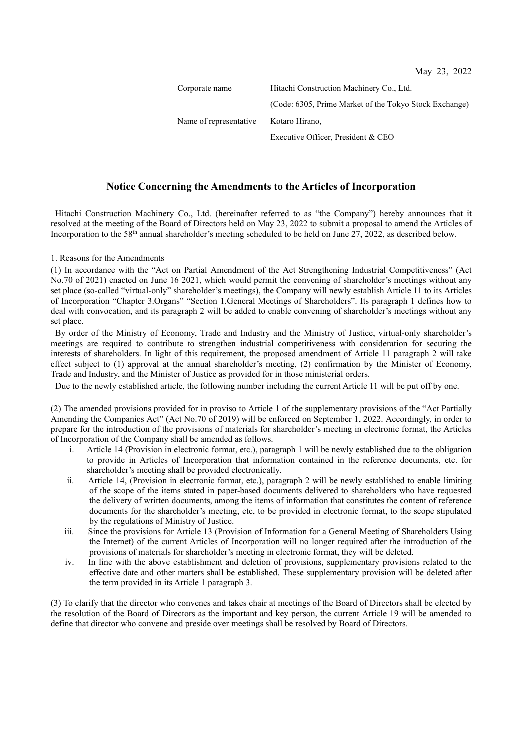| Corporate name         | Hitachi Construction Machinery Co., Ltd.               |
|------------------------|--------------------------------------------------------|
|                        | (Code: 6305, Prime Market of the Tokyo Stock Exchange) |
| Name of representative | Kotaro Hirano,                                         |
|                        | Executive Officer, President & CEO                     |

## **Notice Concerning the Amendments to the Articles of Incorporation**

Hitachi Construction Machinery Co., Ltd. (hereinafter referred to as "the Company") hereby announces that it resolved at the meeting of the Board of Directors held on May 23, 2022 to submit a proposal to amend the Articles of Incorporation to the 58<sup>th</sup> annual shareholder's meeting scheduled to be held on June  $27$ ,  $2022$ , as described below.

1. Reasons for the Amendments

(1) In accordance with the "Act on Partial Amendment of the Act Strengthening Industrial Competitiveness" (Act No.70 of 2021) enacted on June 16 2021, which would permit the convening of shareholder's meetings without any set place (so-called "virtual-only" shareholder's meetings), the Company will newly establish Article 11 to its Articles of Incorporation "Chapter 3.Organs" "Section 1.General Meetings of Shareholders". Its paragraph 1 defines how to deal with convocation, and its paragraph 2 will be added to enable convening of shareholder's meetings without any set place.

By order of the Ministry of Economy, Trade and Industry and the Ministry of Justice, virtual-only shareholder's meetings are required to contribute to strengthen industrial competitiveness with consideration for securing the interests of shareholders. In light of this requirement, the proposed amendment of Article 11 paragraph 2 will take effect subject to (1) approval at the annual shareholder's meeting, (2) confirmation by the Minister of Economy, Trade and Industry, and the Minister of Justice as provided for in those ministerial orders.

Due to the newly established article, the following number including the current Article 11 will be put off by one.

(2) The amended provisions provided for in proviso to Article 1 of the supplementary provisions of the "Act Partially Amending the Companies Act" (Act No.70 of 2019) will be enforced on September 1, 2022. Accordingly, in order to prepare for the introduction of the provisions of materials for shareholder's meeting in electronic format, the Articles of Incorporation of the Company shall be amended as follows.

- i. Article 14 (Provision in electronic format, etc.), paragraph 1 will be newly established due to the obligation to provide in Articles of Incorporation that information contained in the reference documents, etc. for shareholder's meeting shall be provided electronically.
- ii. Article 14, (Provision in electronic format, etc.), paragraph 2 will be newly established to enable limiting of the scope of the items stated in paper-based documents delivered to shareholders who have requested the delivery of written documents, among the items of information that constitutes the content of reference documents for the shareholder's meeting, etc, to be provided in electronic format, to the scope stipulated by the regulations of Ministry of Justice.
- iii. Since the provisions for Article 13 (Provision of Information for a General Meeting of Shareholders Using the Internet) of the current Articles of Incorporation will no longer required after the introduction of the provisions of materials for shareholder's meeting in electronic format, they will be deleted.
- iv. In line with the above establishment and deletion of provisions, supplementary provisions related to the effective date and other matters shall be established. These supplementary provision will be deleted after the term provided in its Article 1 paragraph 3.

(3) To clarify that the director who convenes and takes chair at meetings of the Board of Directors shall be elected by the resolution of the Board of Directors as the important and key person, the current Article 19 will be amended to define that director who convene and preside over meetings shall be resolved by Board of Directors.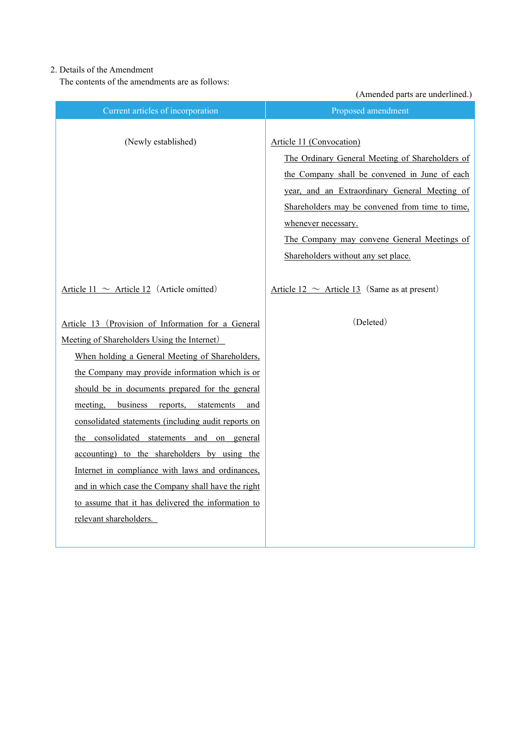## 2. Details of the Amendment

The contents of the amendments are as follows:

(Amended parts are underlined.)

|                                                     | (Amended parts are underlined.)                                                                                                                                                                                                                         |
|-----------------------------------------------------|---------------------------------------------------------------------------------------------------------------------------------------------------------------------------------------------------------------------------------------------------------|
| Current articles of incorporation                   | Proposed amendment                                                                                                                                                                                                                                      |
| (Newly established)                                 | Article 11 (Convocation)<br>The Ordinary General Meeting of Shareholders of<br>the Company shall be convened in June of each<br>year, and an Extraordinary General Meeting of<br>Shareholders may be convened from time to time,<br>whenever necessary. |
|                                                     | The Company may convene General Meetings of                                                                                                                                                                                                             |
|                                                     | Shareholders without any set place.                                                                                                                                                                                                                     |
| Article 11 $\sim$ Article 12 (Article omitted)      | Article $12 \sim$ Article 13 (Same as at present)                                                                                                                                                                                                       |
| Article 13 (Provision of Information for a General  | (Deleted)                                                                                                                                                                                                                                               |
| Meeting of Shareholders Using the Internet)         |                                                                                                                                                                                                                                                         |
| When holding a General Meeting of Shareholders,     |                                                                                                                                                                                                                                                         |
| the Company may provide information which is or     |                                                                                                                                                                                                                                                         |
| should be in documents prepared for the general     |                                                                                                                                                                                                                                                         |
| meeting, business reports, statements and           |                                                                                                                                                                                                                                                         |
| consolidated statements (including audit reports on |                                                                                                                                                                                                                                                         |
| the consolidated statements and on general          |                                                                                                                                                                                                                                                         |
| accounting) to the shareholders by using the        |                                                                                                                                                                                                                                                         |
| Internet in compliance with laws and ordinances,    |                                                                                                                                                                                                                                                         |
| and in which case the Company shall have the right  |                                                                                                                                                                                                                                                         |
| to assume that it has delivered the information to  |                                                                                                                                                                                                                                                         |
| relevant shareholders.                              |                                                                                                                                                                                                                                                         |
|                                                     |                                                                                                                                                                                                                                                         |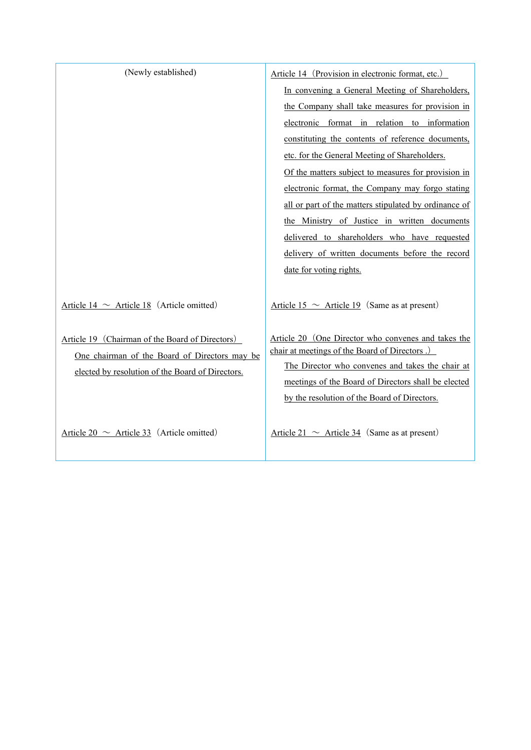| (Newly established)                                                                              | Article 14 (Provision in electronic format, etc.)                                                                                                        |
|--------------------------------------------------------------------------------------------------|----------------------------------------------------------------------------------------------------------------------------------------------------------|
|                                                                                                  | In convening a General Meeting of Shareholders,                                                                                                          |
|                                                                                                  | the Company shall take measures for provision in                                                                                                         |
|                                                                                                  | electronic format in relation to information                                                                                                             |
|                                                                                                  | constituting the contents of reference documents,                                                                                                        |
|                                                                                                  | etc. for the General Meeting of Shareholders.                                                                                                            |
|                                                                                                  | Of the matters subject to measures for provision in                                                                                                      |
|                                                                                                  | electronic format, the Company may forgo stating                                                                                                         |
|                                                                                                  | all or part of the matters stipulated by ordinance of                                                                                                    |
|                                                                                                  | the Ministry of Justice in written documents                                                                                                             |
|                                                                                                  | delivered to shareholders who have requested                                                                                                             |
|                                                                                                  | delivery of written documents before the record                                                                                                          |
|                                                                                                  | date for voting rights.                                                                                                                                  |
|                                                                                                  |                                                                                                                                                          |
| Article 14 $\sim$ Article 18 (Article omitted)                                                   | Article 15 $\sim$ Article 19 (Same as at present)                                                                                                        |
| Article 19 (Chairman of the Board of Directors)<br>One chairman of the Board of Directors may be | Article 20 (One Director who convenes and takes the<br>chair at meetings of the Board of Directors.)<br>The Director who convenes and takes the chair at |
| elected by resolution of the Board of Directors.                                                 | meetings of the Board of Directors shall be elected                                                                                                      |
|                                                                                                  | by the resolution of the Board of Directors.                                                                                                             |
|                                                                                                  |                                                                                                                                                          |
| Article 20 $\sim$ Article 33 (Article omitted)                                                   | Article 21 $\sim$ Article 34 (Same as at present)                                                                                                        |